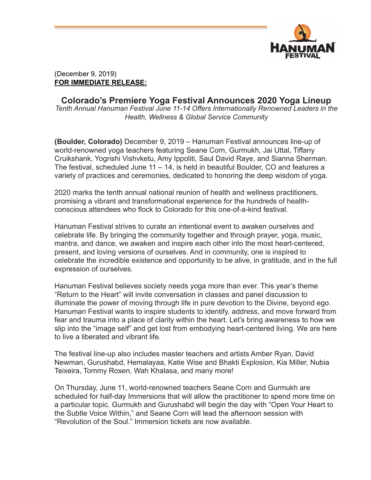

## (December 9, 2019) **FOR IMMEDIATE RELEASE:**

## **Colorado's Premiere Yoga Festival Announces 2020 Yoga Lineup** *Tenth Annual Hanuman Festival June 11-14 Offers Internationally Renowned Leaders in the Health, Wellness & Global Service Community*

**(Boulder, Colorado)** December 9, 2019 – Hanuman Festival announces line-up of world-renowned yoga teachers featuring Seane Corn, Gurmukh, Jai Uttal, Tiffany Cruikshank, Yogrishi Vishvketu, Amy Ippoliti, Saul David Raye, and Sianna Sherman. The festival, scheduled June 11 – 14, is held in beautiful Boulder, CO and features a variety of practices and ceremonies, dedicated to honoring the deep wisdom of yoga.

2020 marks the tenth annual national reunion of health and wellness practitioners, promising a vibrant and transformational experience for the hundreds of healthconscious attendees who flock to Colorado for this one-of-a-kind festival.

Hanuman Festival strives to curate an intentional event to awaken ourselves and celebrate life. By bringing the community together and through prayer, yoga, music, mantra, and dance, we awaken and inspire each other into the most heart-centered, present, and loving versions of ourselves. And in community, one is inspired to celebrate the incredible existence and opportunity to be alive, in gratitude, and in the full expression of ourselves.

Hanuman Festival believes society needs yoga more than ever. This year's theme "Return to the Heart" will invite conversation in classes and panel discussion to illuminate the power of moving through life in pure devotion to the Divine, beyond ego. Hanuman Festival wants to inspire students to identify, address, and move forward from fear and trauma into a place of clarity within the heart. Let's bring awareness to how we slip into the "image self" and get lost from embodying heart-centered living. We are here to live a liberated and vibrant life.

The festival line-up also includes master teachers and artists Amber Ryan, David Newman, Gurushabd, Hemalayaa, Katie Wise and Bhakti Explosion, Kia Miller, Nubia Teixeira, Tommy Rosen, Wah Khalasa, and many more!

On Thursday, June 11, world-renowned teachers Seane Corn and Gurmukh are scheduled for half-day Immersions that will allow the practitioner to spend more time on a particular topic. Gurmukh and Gurushabd will begin the day with "Open Your Heart to the Subtle Voice Within," and Seane Corn will lead the afternoon session with "Revolution of the Soul." Immersion tickets are now available.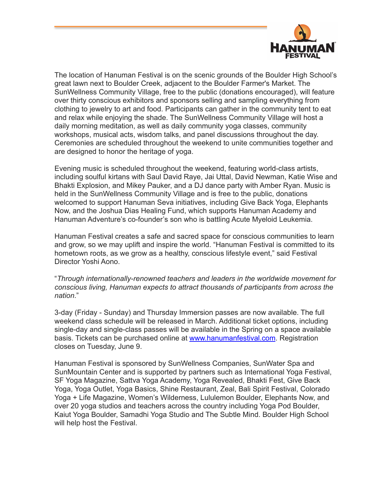

The location of Hanuman Festival is on the scenic grounds of the Boulder High School's great lawn next to Boulder Creek, adjacent to the Boulder Farmer's Market. The SunWellness Community Village, free to the public (donations encouraged), will feature over thirty conscious exhibitors and sponsors selling and sampling everything from clothing to jewelry to art and food. Participants can gather in the community tent to eat and relax while enjoying the shade. The SunWellness Community Village will host a daily morning meditation, as well as daily community yoga classes, community workshops, musical acts, wisdom talks, and panel discussions throughout the day. Ceremonies are scheduled throughout the weekend to unite communities together and are designed to honor the heritage of yoga.

Evening music is scheduled throughout the weekend, featuring world-class artists, including soulful kirtans with Saul David Raye, Jai Uttal, David Newman, Katie Wise and Bhakti Explosion, and Mikey Pauker, and a DJ dance party with Amber Ryan. Music is held in the SunWellness Community Village and is free to the public, donations welcomed to support Hanuman Seva initiatives, including Give Back Yoga, Elephants Now, and the Joshua Dias Healing Fund, which supports Hanuman Academy and Hanuman Adventure's co-founder's son who is battling Acute Myeloid Leukemia.

Hanuman Festival creates a safe and sacred space for conscious communities to learn and grow, so we may uplift and inspire the world. "Hanuman Festival is committed to its hometown roots, as we grow as a healthy, conscious lifestyle event," said Festival Director Yoshi Aono.

"*Through internationally-renowned teachers and leaders in the worldwide movement for conscious living, Hanuman expects to attract thousands of participants from across the nation*."

3-day (Friday - Sunday) and Thursday Immersion passes are now available. The full weekend class schedule will be released in March. Additional ticket options, including single-day and single-class passes will be available in the Spring on a space available basis. Tickets can be purchased online at [www.hanumanfestival.com.](http://www.hanumanfestival.com/) Registration closes on Tuesday, June 9.

Hanuman Festival is sponsored by SunWellness Companies, SunWater Spa and SunMountain Center and is supported by partners such as International Yoga Festival, SF Yoga Magazine, Sattva Yoga Academy, Yoga Revealed, Bhakti Fest, Give Back Yoga, Yoga Outlet, Yoga Basics, Shine Restaurant, Zeal, Bali Spirit Festival, Colorado Yoga + Life Magazine, Women's Wilderness, Lululemon Boulder, Elephants Now, and over 20 yoga studios and teachers across the country including Yoga Pod Boulder, Kaiut Yoga Boulder, Samadhi Yoga Studio and The Subtle Mind. Boulder High School will help host the Festival.